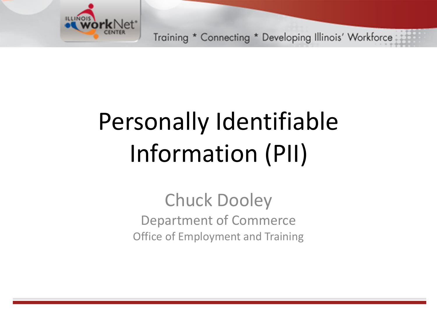

# Personally Identifiable Information (PII)

Chuck Dooley Department of Commerce Office of Employment and Training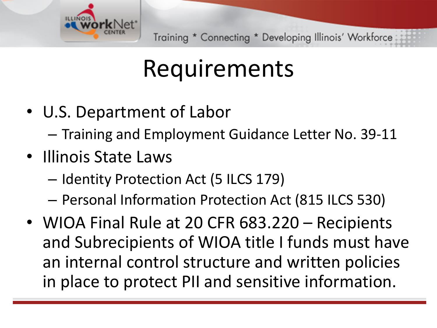

#### Requirements

- U.S. Department of Labor
	- Training and Employment Guidance Letter No. 39-11
- Illinois State Laws
	- Identity Protection Act (5 ILCS 179)
	- Personal Information Protection Act (815 ILCS 530)
- WIOA Final Rule at 20 CFR 683.220 Recipients and Subrecipients of WIOA title I funds must have an internal control structure and written policies in place to protect PII and sensitive information.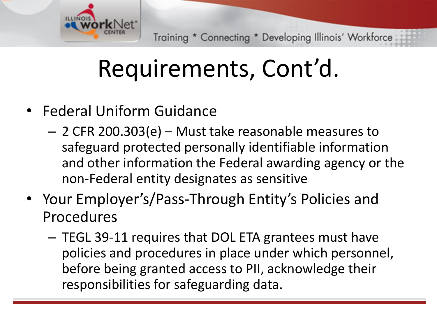

## Requirements, Cont'd.

- Federal Uniform Guidance
	- 2 CFR 200.303(e) Must take reasonable measures to safeguard protected personally identifiable information and other information the Federal awarding agency or the non-Federal entity designates as sensitive
- Your Employer's/Pass-Through Entity's Policies and Procedures
	- TEGL 39-11 requires that DOL ETA grantees must have policies and procedures in place under which personnel, before being granted access to PII, acknowledge their responsibilities for safeguarding data.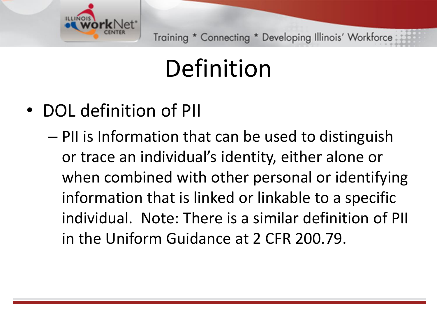

## Definition

- DOL definition of PII
	- PII is Information that can be used to distinguish or trace an individual's identity, either alone or when combined with other personal or identifying information that is linked or linkable to a specific individual. Note: There is a similar definition of PII in the Uniform Guidance at 2 CFR 200.79.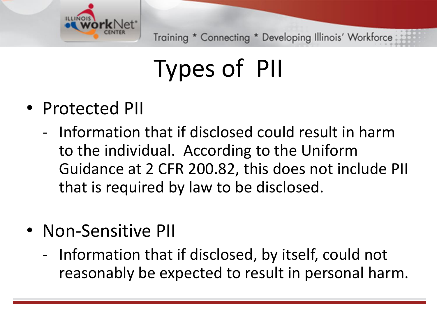

# Types of PII

#### • Protected PII

- Information that if disclosed could result in harm to the individual. According to the Uniform Guidance at 2 CFR 200.82, this does not include PII that is required by law to be disclosed.
- Non-Sensitive PII
	- Information that if disclosed, by itself, could not reasonably be expected to result in personal harm.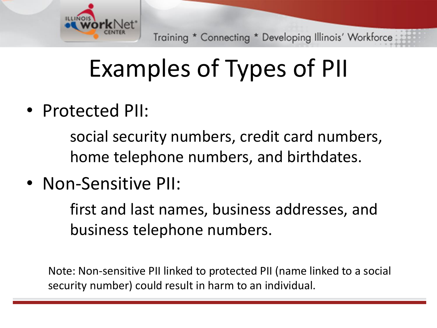

# Examples of Types of PII

• Protected PII:

social security numbers, credit card numbers, home telephone numbers, and birthdates.

• Non-Sensitive PII:

first and last names, business addresses, and business telephone numbers.

Note: Non-sensitive PII linked to protected PII (name linked to a social security number) could result in harm to an individual.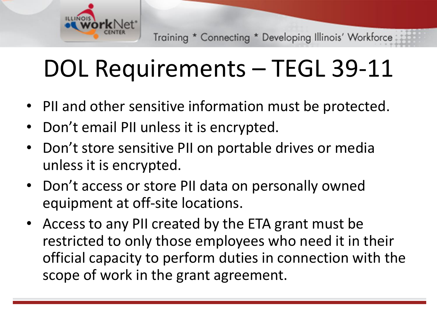

## DOL Requirements – TEGL 39-11

- PII and other sensitive information must be protected.
- Don't email PII unless it is encrypted.
- Don't store sensitive PII on portable drives or media unless it is encrypted.
- Don't access or store PII data on personally owned equipment at off-site locations.
- Access to any PII created by the ETA grant must be restricted to only those employees who need it in their official capacity to perform duties in connection with the scope of work in the grant agreement.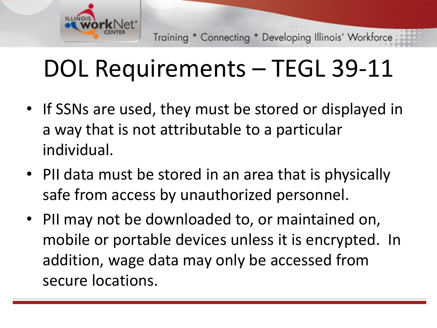

## DOL Requirements – TEGL 39-11

- If SSNs are used, they must be stored or displayed in a way that is not attributable to a particular individual.
- PII data must be stored in an area that is physically safe from access by unauthorized personnel.
- PII may not be downloaded to, or maintained on, mobile or portable devices unless it is encrypted. In addition, wage data may only be accessed from secure locations.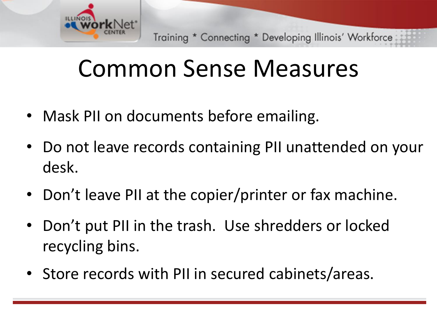

#### Common Sense Measures

- Mask PII on documents before emailing.
- Do not leave records containing PII unattended on your desk.
- Don't leave PII at the copier/printer or fax machine.
- Don't put PII in the trash. Use shredders or locked recycling bins.
- Store records with PII in secured cabinets/areas.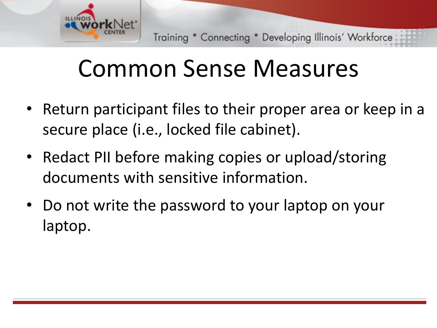

#### Common Sense Measures

- Return participant files to their proper area or keep in a secure place (i.e., locked file cabinet).
- Redact PII before making copies or upload/storing documents with sensitive information.
- Do not write the password to your laptop on your laptop.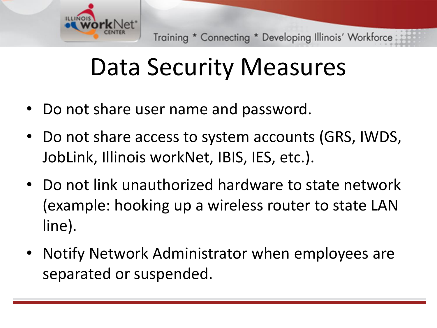

## Data Security Measures

- Do not share user name and password.
- Do not share access to system accounts (GRS, IWDS, JobLink, Illinois workNet, IBIS, IES, etc.).
- Do not link unauthorized hardware to state network (example: hooking up a wireless router to state LAN line).
- Notify Network Administrator when employees are separated or suspended.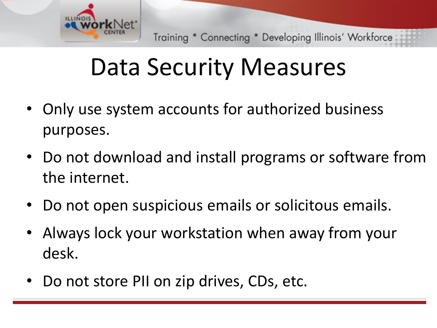

#### Data Security Measures

- Only use system accounts for authorized business purposes.
- Do not download and install programs or software from the internet.
- Do not open suspicious emails or solicitous emails.
- Always lock your workstation when away from your desk.
- Do not store PII on zip drives, CDs, etc.